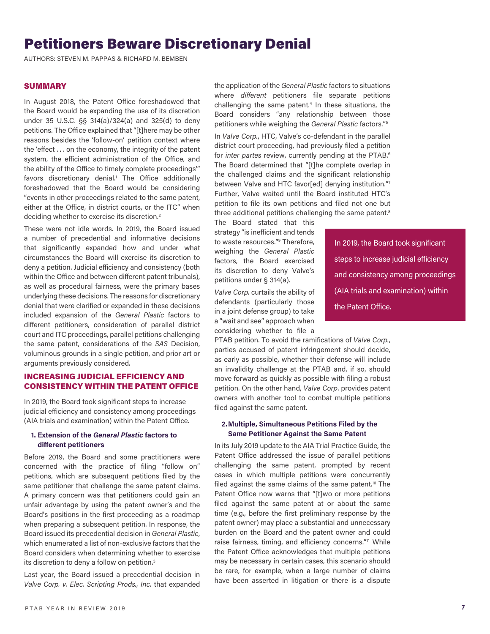# Petitioners Beware Discretionary Denial

AUTHORS: STEVEN M. PAPPAS & RICHARD M. BEMBEN

#### **SUMMARY**

In August 2018, the Patent Office foreshadowed that the Board would be expanding the use of its discretion under 35 U.S.C. §§ 314(a)/324(a) and 325(d) to deny petitions. The Office explained that "[t]here may be other reasons besides the 'follow-on' petition context where the 'effect . . . on the economy, the integrity of the patent system, the efficient administration of the Office, and the ability of the Office to timely complete proceedings'" favors discretionary denial.<sup>1</sup> The Office additionally foreshadowed that the Board would be considering "events in other proceedings related to the same patent, either at the Office, in district courts, or the ITC" when deciding whether to exercise its discretion.<sup>2</sup>

These were not idle words. In 2019, the Board issued a number of precedential and informative decisions that significantly expanded how and under what circumstances the Board will exercise its discretion to deny a petition. Judicial efficiency and consistency (both within the Office and between different patent tribunals), as well as procedural fairness, were the primary bases underlying these decisions. The reasons for discretionary denial that were clarified or expanded in these decisions included expansion of the *General Plastic* factors to different petitioners, consideration of parallel district court and ITC proceedings, parallel petitions challenging the same patent, considerations of the *SAS* Decision, voluminous grounds in a single petition, and prior art or arguments previously considered.

# INCREASING JUDICIAL EFFICIENCY AND CONSISTENCY WITHIN THE PATENT OFFICE

In 2019, the Board took significant steps to increase judicial efficiency and consistency among proceedings (AIA trials and examination) within the Patent Office.

# **1. Extension of the** *General Plastic* **factors to different petitioners**

Before 2019, the Board and some practitioners were concerned with the practice of filing "follow on" petitions, which are subsequent petitions filed by the same petitioner that challenge the same patent claims. A primary concern was that petitioners could gain an unfair advantage by using the patent owner's and the Board's positions in the first proceeding as a roadmap when preparing a subsequent petition. In response, the Board issued its precedential decision in *General Plastic*, which enumerated a list of non-exclusive factors that the Board considers when determining whether to exercise its discretion to deny a follow on petition.3

Last year, the Board issued a precedential decision in *Valve Corp. v. Elec. Scripting Prods., Inc.* that expanded

the application of the *General Plastic* factors to situations where *different* petitioners file separate petitions challenging the same patent.<sup>4</sup> In these situations, the Board considers "any relationship between those petitioners while weighing the *General Plastic* factors."5

In *Valve Corp.*, HTC, Valve's co-defendant in the parallel district court proceeding, had previously filed a petition for *inter partes review*, currently pending at the PTAB.<sup>6</sup> The Board determined that "[t]he complete overlap in the challenged claims and the significant relationship between Valve and HTC favor[ed] denying institution."7 Further, Valve waited until the Board instituted HTC's petition to file its own petitions and filed not one but three additional petitions challenging the same patent.<sup>8</sup>

The Board stated that this strategy "is inefficient and tends to waste resources."9 Therefore, weighing the *General Plastic*  factors, the Board exercised its discretion to deny Valve's petitions under § 314(a).

*Valve Corp.* curtails the ability of defendants (particularly those in a joint defense group) to take a "wait and see" approach when considering whether to file a

steps to increase judicial efficiency and consistency among proceedings (AIA trials and examination) within the Patent Office.

In 2019, the Board took significant

PTAB petition. To avoid the ramifications of *Valve Corp.*, parties accused of patent infringement should decide, as early as possible, whether their defense will include an invalidity challenge at the PTAB and, if so, should move forward as quickly as possible with filing a robust petition. On the other hand, *Valve Corp*. provides patent owners with another tool to combat multiple petitions filed against the same patent.

#### **2.Multiple, Simultaneous Petitions Filed by the Same Petitioner Against the Same Patent**

In its July 2019 update to the AIA Trial Practice Guide, the Patent Office addressed the issue of parallel petitions challenging the same patent, prompted by recent cases in which multiple petitions were concurrently filed against the same claims of the same patent.<sup>10</sup> The Patent Office now warns that "[t]wo or more petitions filed against the same patent at or about the same time (e.g., before the first preliminary response by the patent owner) may place a substantial and unnecessary burden on the Board and the patent owner and could raise fairness, timing, and efficiency concerns."<sup>11</sup> While the Patent Office acknowledges that multiple petitions may be necessary in certain cases, this scenario should be rare, for example, when a large number of claims have been asserted in litigation or there is a dispute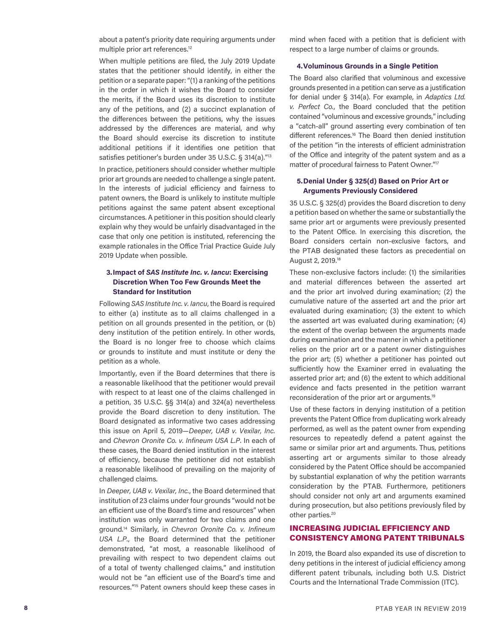about a patent's priority date requiring arguments under multiple prior art references.12

When multiple petitions are filed, the July 2019 Update states that the petitioner should identify, in either the petition or a separate paper: "(1) a ranking of the petitions in the order in which it wishes the Board to consider the merits, if the Board uses its discretion to institute any of the petitions, and (2) a succinct explanation of the differences between the petitions, why the issues addressed by the differences are material, and why the Board should exercise its discretion to institute additional petitions if it identifies one petition that satisfies petitioner's burden under 35 U.S.C. § 314(a)."13

In practice, petitioners should consider whether multiple prior art grounds are needed to challenge a single patent. In the interests of judicial efficiency and fairness to patent owners, the Board is unlikely to institute multiple petitions against the same patent absent exceptional circumstances. A petitioner in this position should clearly explain why they would be unfairly disadvantaged in the case that only one petition is instituted, referencing the example rationales in the Office Trial Practice Guide July 2019 Update when possible.

# **3.Impact of** *SAS Institute Inc. v. Iancu***: Exercising Discretion When Too Few Grounds Meet the Standard for Institution**

Following *SAS Institute Inc. v. Iancu*, the Board is required to either (a) institute as to all claims challenged in a petition on all grounds presented in the petition, or (b) deny institution of the petition entirely. In other words, the Board is no longer free to choose which claims or grounds to institute and must institute or deny the petition as a whole.

Importantly, even if the Board determines that there is a reasonable likelihood that the petitioner would prevail with respect to at least one of the claims challenged in a petition, 35 U.S.C. §§ 314(a) and 324(a) nevertheless provide the Board discretion to deny institution. The Board designated as informative two cases addressing this issue on April 5, 2019—*Deeper, UAB v. Vexilar, Inc.*  and *Chevron Oronite Co. v. Infineum USA L.P*. In each of these cases, the Board denied institution in the interest of efficiency, because the petitioner did not establish a reasonable likelihood of prevailing on the majority of challenged claims.

In *Deeper, UAB v. Vexilar, Inc.*, the Board determined that institution of 23 claims under four grounds "would not be an efficient use of the Board's time and resources" when institution was only warranted for two claims and one ground.14 Similarly, in *Chevron Oronite Co. v. Infineum USA L.P.*, the Board determined that the petitioner demonstrated, "at most, a reasonable likelihood of prevailing with respect to two dependent claims out of a total of twenty challenged claims," and institution would not be "an efficient use of the Board's time and resources."15 Patent owners should keep these cases in

mind when faced with a petition that is deficient with respect to a large number of claims or grounds.

# **4.Voluminous Grounds in a Single Petition**

The Board also clarified that voluminous and excessive grounds presented in a petition can serve as a justification for denial under § 314(a). For example, in *Adaptics Ltd. v. Perfect Co.*, the Board concluded that the petition contained "voluminous and excessive grounds," including a "catch-all" ground asserting every combination of ten different references.<sup>16</sup> The Board then denied institution of the petition "in the interests of efficient administration of the Office and integrity of the patent system and as a matter of procedural fairness to Patent Owner."<sup>17</sup>

#### **5.Denial Under § 325(d) Based on Prior Art or Arguments Previously Considered**

35 U.S.C. § 325(d) provides the Board discretion to deny a petition based on whether the same or substantially the same prior art or arguments were previously presented to the Patent Office. In exercising this discretion, the Board considers certain non-exclusive factors, and the PTAB designated these factors as precedential on August 2, 2019.18

These non-exclusive factors include: (1) the similarities and material differences between the asserted art and the prior art involved during examination; (2) the cumulative nature of the asserted art and the prior art evaluated during examination; (3) the extent to which the asserted art was evaluated during examination; (4) the extent of the overlap between the arguments made during examination and the manner in which a petitioner relies on the prior art or a patent owner distinguishes the prior art; (5) whether a petitioner has pointed out sufficiently how the Examiner erred in evaluating the asserted prior art; and (6) the extent to which additional evidence and facts presented in the petition warrant reconsideration of the prior art or arguments.19

Use of these factors in denying institution of a petition prevents the Patent Office from duplicating work already performed, as well as the patent owner from expending resources to repeatedly defend a patent against the same or similar prior art and arguments. Thus, petitions asserting art or arguments similar to those already considered by the Patent Office should be accompanied by substantial explanation of why the petition warrants consideration by the PTAB. Furthermore, petitioners should consider not only art and arguments examined during prosecution, but also petitions previously filed by other parties.<sup>20</sup>

# INCREASING JUDICIAL EFFICIENCY AND CONSISTENCY AMONG PATENT TRIBUNALS

In 2019, the Board also expanded its use of discretion to deny petitions in the interest of judicial efficiency among different patent tribunals, including both U.S. District Courts and the International Trade Commission (ITC).